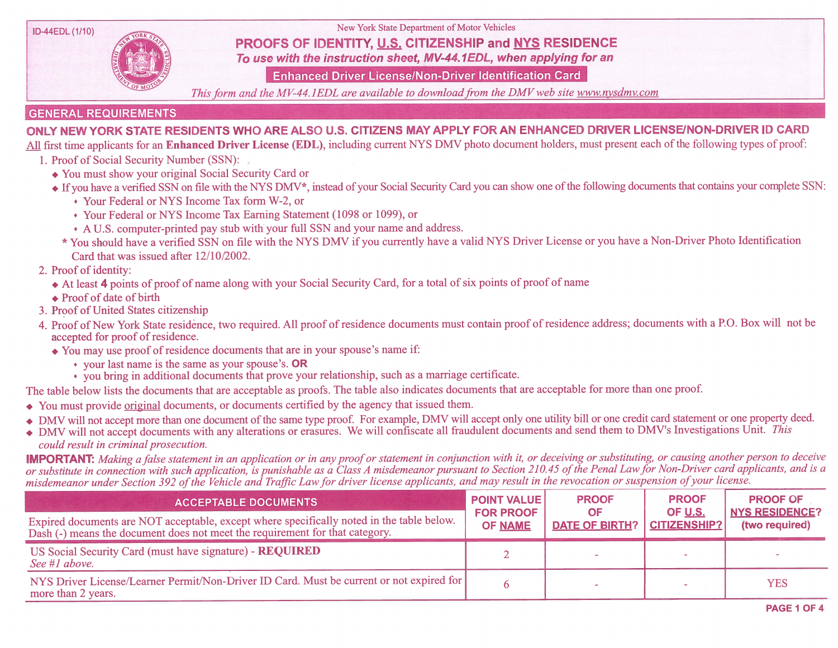

ID-44EDL (1/10) New York State Department of Motor Vehicles

## PROOFS OF IDENTITY, U.S. CITIZENSHIP and NYS RESIDENCE

To use with the instruction sheet, MV-44, IEDL, when applying for an

Enhanced Driver License/Non-Driver Identification Card

This form and the MV-44.1EDL are available to download from the DMV web site www.nysdmv.com

## GENERAL REQUIREMENTS

## ONLY NEW YORK STATE RESIDENTS WHO ARE ALSO U.S. CITIZENS MAY APPLY FOR AN ENHANCED DRIVER LICENSE/NON-DRIVER ID CARD

All first time applicants for an Enhanced Driver License (EDL), including current NYS DMV photo document holders, must present each of the following types of proof:

- 1. Proof of Social Security Number (SSN):
	- . You must show your original Social Security Card or
	- ◆ If you have a verified SSN on file with the NYS DMV\*, instead of your Social Security Card you can show one of the following documents that contains your complete SSN:
		- , Your Federal or NYS Income Tax form W-2, or
		- . Your Federal or NYS Income Tax Earning Statement (1098 or 1099), or
		- . A U.S. computer-printed pay stub with your full SSN and your name and address.
		- \* You should have a verified SSN on file with the NYS DMV ifyou currently have a valid NYS Driver License or you have a Non-Driver Photo Identification Card that was issued after 12/10/2002.
- 2. Proof of identity:
	- . At least <sup>4</sup> points of proof of name along with your Social Security Card, for <sup>a</sup> total ofsix points of proof of name
	- $\triangle$  Proof of date of birth
- <sup>3</sup> . Proof of United States citizenship
- 4. Proof of New York State residence, two required. All proof of residence documents must contain proof of residence address; documents with a P.O. Box will not be accepted for proof of residence.
	- You may use proof of residence documents that are in your spouse's name if:<br>• your last name is the same as your spouse's. OR
		-
		- $\cdot$  you bring in additional documents that prove your relationship, such as a marriage certificate.

The table below lists the documents that are acceptable as proofs. The table also indicates documents that are acceptable for more than one proof.

- . You must provide original documents, or documents certified by the agency that issued them.
- DMV will not accept more than one document of the same type proof. For example, DMV will accept only one utility bill or one credit card statement or one property deed.
- DMV will not accept documents with any alterations or erasures. We will confiscate all fraudulent documents and send them to DMV's Investigations Unit. This could result in criminal prosecution.

**IMPORTANT:** Making a false statement in an application or in any proof or statement in conjunction with it, or deceiving or substituting, or causing another person to deceive or substitute in connection with such application, is punishable as a Class A misdemeanor pursuant to Section 210.45 of the Penal Law for Non-Driver card applicants, and is a misdemeanor under Section 392 of the Vehicle and Traffic Law for driver license applicants, and may result in the revocation or suspension of your license.

| <b>ACCEPTABLE DOCUMENTS</b>                                                                                                                                               | <b>POINT VALUE</b><br><b>FOR PROOF</b><br><b>OF NAME</b> | <b>PROOF</b><br>OF<br><b>DATE OF BIRTH?</b> | <b>PROOF</b><br><b>OF U.S.</b><br><b>CITIZENSHIP?</b> | <b>PROOF OF</b><br><b>NYS RESIDENCE?</b><br>(two required) |
|---------------------------------------------------------------------------------------------------------------------------------------------------------------------------|----------------------------------------------------------|---------------------------------------------|-------------------------------------------------------|------------------------------------------------------------|
| Expired documents are NOT acceptable, except where specifically noted in the table below.<br>Dash (-) means the document does not meet the requirement for that category. |                                                          |                                             |                                                       |                                                            |
| US Social Security Card (must have signature) - REQUIRED<br>See #1 above.                                                                                                 |                                                          |                                             |                                                       |                                                            |
| NYS Driver License/Learner Permit/Non-Driver ID Card. Must be current or not expired for<br>more than 2 years.                                                            |                                                          |                                             |                                                       | <b>YES</b>                                                 |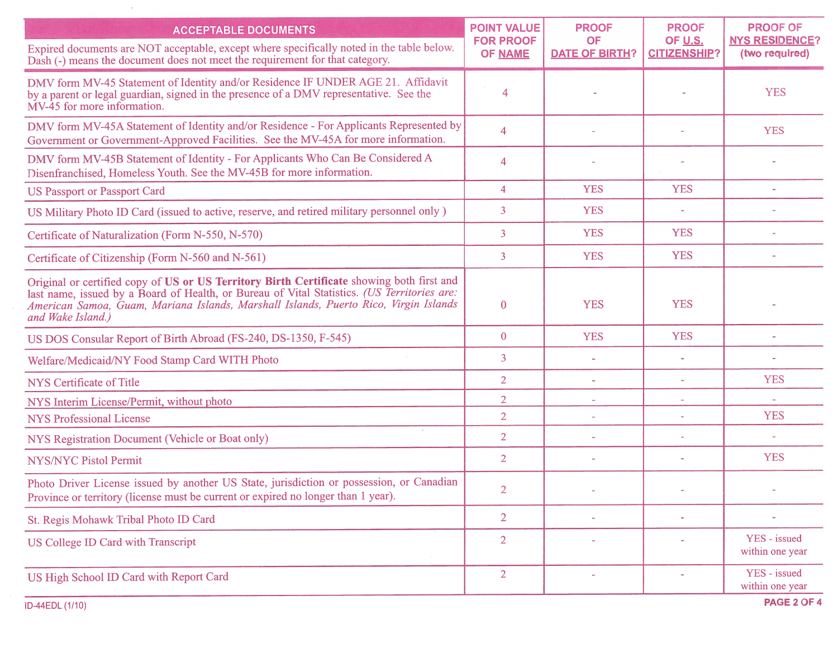| <b>ACCEPTABLE DOCUMENTS</b>                                                                                                                                                                                                                                                                           | <b>POINT VALUE</b><br><b>FOR PROOF</b> | <b>PROOF</b><br><b>OF</b> | <b>PROOF</b>                   | <b>PROOF OF</b>                         |
|-------------------------------------------------------------------------------------------------------------------------------------------------------------------------------------------------------------------------------------------------------------------------------------------------------|----------------------------------------|---------------------------|--------------------------------|-----------------------------------------|
| Expired documents are NOT acceptable, except where specifically noted in the table below.<br>Dash (-) means the document does not meet the requirement for that category.                                                                                                                             | <b>OF NAME</b>                         | <b>DATE OF BIRTH?</b>     | OF U.S.<br><b>CITIZENSHIP?</b> | <b>NYS RESIDENCE?</b><br>(two required) |
| DMV form MV-45 Statement of Identity and/or Residence IF UNDER AGE 21. Affidavit<br>by a parent or legal guardian, signed in the presence of a DMV representative. See the<br>MV-45 for more information.                                                                                             | 4                                      |                           |                                | <b>YES</b>                              |
| DMV form MV-45A Statement of Identity and/or Residence - For Applicants Represented by<br>Government or Government-Approved Facilities. See the MV-45A for more information.                                                                                                                          | $\overline{4}$                         |                           |                                | <b>YES</b>                              |
| DMV form MV-45B Statement of Identity - For Applicants Who Can Be Considered A<br>Disenfranchised, Homeless Youth. See the MV-45B for more information.                                                                                                                                               | $\overline{4}$                         |                           |                                |                                         |
| <b>US Passport or Passport Card</b>                                                                                                                                                                                                                                                                   | $\overline{4}$                         | <b>YES</b>                | <b>YES</b>                     |                                         |
| US Military Photo ID Card (issued to active, reserve, and retired military personnel only)                                                                                                                                                                                                            | 3                                      | <b>YES</b>                |                                |                                         |
| Certificate of Naturalization (Form N-550, N-570)                                                                                                                                                                                                                                                     | 3                                      | <b>YES</b>                | <b>YES</b>                     |                                         |
| Certificate of Citizenship (Form N-560 and N-561)                                                                                                                                                                                                                                                     | 3                                      | <b>YES</b>                | <b>YES</b>                     |                                         |
| Original or certified copy of US or US Territory Birth Certificate showing both first and<br>last name, issued by a Board of Health, or Bureau of Vital Statistics. (US Territories are:<br>American Samoa, Guam, Mariana Islands, Marshall Islands, Puerto Rico, Virgin Islands<br>and Wake Island.) | $\mathbf{0}$                           | <b>YES</b>                | <b>YES</b>                     |                                         |
| US DOS Consular Report of Birth Abroad (FS-240, DS-1350, F-545)                                                                                                                                                                                                                                       | $\mathbf{0}$                           | <b>YES</b>                | <b>YES</b>                     |                                         |
| Welfare/Medicaid/NY Food Stamp Card WITH Photo                                                                                                                                                                                                                                                        | 3                                      |                           |                                |                                         |
| NYS Certificate of Title                                                                                                                                                                                                                                                                              | $\overline{2}$                         |                           |                                | <b>YES</b>                              |
| NYS Interim License/Permit, without photo                                                                                                                                                                                                                                                             | $\overline{2}$                         |                           |                                |                                         |
| <b>NYS Professional License</b>                                                                                                                                                                                                                                                                       | $\overline{2}$                         |                           | $\sim$                         | <b>YES</b>                              |
| NYS Registration Document (Vehicle or Boat only)                                                                                                                                                                                                                                                      | $\overline{2}$                         |                           |                                |                                         |
| <b>NYS/NYC Pistol Permit</b>                                                                                                                                                                                                                                                                          | $\overline{2}$                         |                           |                                | <b>YES</b>                              |
| Photo Driver License issued by another US State, jurisdiction or possession, or Canadian<br>Province or territory (license must be current or expired no longer than 1 year).                                                                                                                         | 2                                      |                           |                                |                                         |
| St. Regis Mohawk Tribal Photo ID Card                                                                                                                                                                                                                                                                 | $\overline{2}$                         |                           |                                |                                         |
| US College ID Card with Transcript                                                                                                                                                                                                                                                                    | $\overline{2}$                         |                           |                                | YES - issued<br>within one year         |
| US High School ID Card with Report Card                                                                                                                                                                                                                                                               | $\overline{2}$                         | ä,                        | ۰                              | YES - issued<br>within one year         |

 $\sim$ 

 $\bar{x}$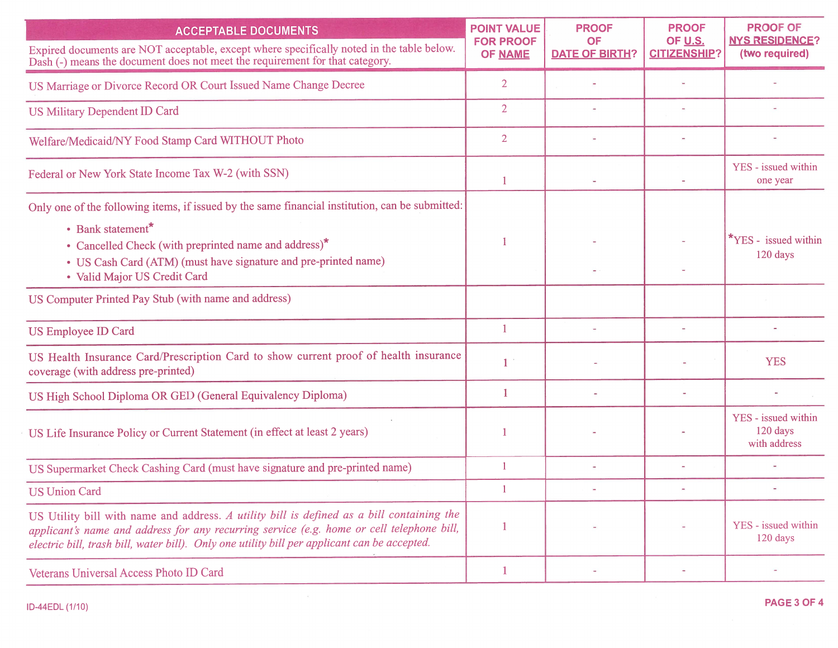| <b>ACCEPTABLE DOCUMENTS</b>                                                                                                                                                                                                                                                            | <b>POINT VALUE</b><br><b>FOR PROOF</b> | <b>PROOF</b><br>OF    | <b>PROOF</b><br>OF U.S. | <b>PROOF OF</b><br><b>NYS RESIDENCE?</b>        |
|----------------------------------------------------------------------------------------------------------------------------------------------------------------------------------------------------------------------------------------------------------------------------------------|----------------------------------------|-----------------------|-------------------------|-------------------------------------------------|
| Expired documents are NOT acceptable, except where specifically noted in the table below.<br>Dash (-) means the document does not meet the requirement for that category.                                                                                                              | <b>OF NAME</b>                         | <b>DATE OF BIRTH?</b> | <b>CITIZENSHIP?</b>     | (two required)                                  |
| US Marriage or Divorce Record OR Court Issued Name Change Decree                                                                                                                                                                                                                       | $\overline{2}$                         |                       |                         |                                                 |
| <b>US Military Dependent ID Card</b>                                                                                                                                                                                                                                                   | $\overline{2}$                         |                       |                         |                                                 |
| Welfare/Medicaid/NY Food Stamp Card WITHOUT Photo                                                                                                                                                                                                                                      | $\overline{2}$                         |                       |                         |                                                 |
| Federal or New York State Income Tax W-2 (with SSN)                                                                                                                                                                                                                                    | 1                                      |                       |                         | YES - issued within<br>one year                 |
| Only one of the following items, if issued by the same financial institution, can be submitted:                                                                                                                                                                                        |                                        |                       |                         |                                                 |
| • Bank statement*<br>• Cancelled Check (with preprinted name and address)*<br>• US Cash Card (ATM) (must have signature and pre-printed name)                                                                                                                                          |                                        |                       |                         | <b>*YES</b> - issued within<br>120 days         |
| • Valid Major US Credit Card                                                                                                                                                                                                                                                           |                                        |                       |                         |                                                 |
| US Computer Printed Pay Stub (with name and address)                                                                                                                                                                                                                                   |                                        |                       |                         |                                                 |
| US Employee ID Card                                                                                                                                                                                                                                                                    | 1                                      |                       |                         |                                                 |
| US Health Insurance Card/Prescription Card to show current proof of health insurance<br>coverage (with address pre-printed)                                                                                                                                                            |                                        |                       |                         | <b>YES</b>                                      |
| US High School Diploma OR GED (General Equivalency Diploma)                                                                                                                                                                                                                            |                                        |                       |                         |                                                 |
| US Life Insurance Policy or Current Statement (in effect at least 2 years)                                                                                                                                                                                                             |                                        |                       |                         | YES - issued within<br>120 days<br>with address |
| US Supermarket Check Cashing Card (must have signature and pre-printed name)                                                                                                                                                                                                           | $\overline{1}$                         |                       |                         |                                                 |
| <b>US Union Card</b>                                                                                                                                                                                                                                                                   |                                        |                       |                         |                                                 |
| US Utility bill with name and address. A utility bill is defined as a bill containing the<br>applicant's name and address for any recurring service (e.g. home or cell telephone bill,<br>electric bill, trash bill, water bill). Only one utility bill per applicant can be accepted. | 1                                      |                       |                         | YES - issued within<br>120 days                 |
| Veterans Universal Access Photo ID Card                                                                                                                                                                                                                                                | $\mathbf{1}$                           |                       |                         |                                                 |